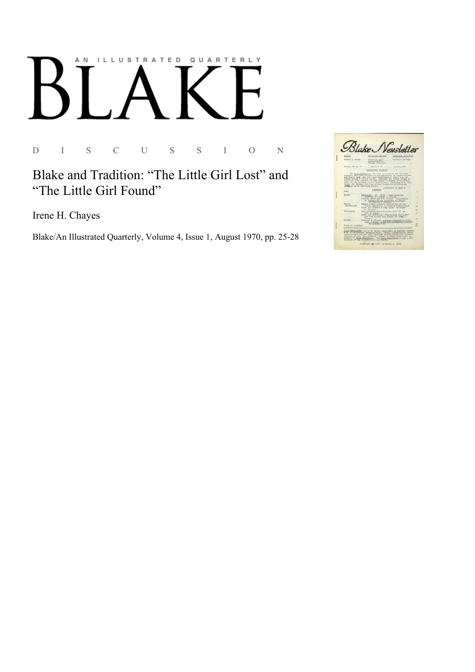## AN ILLUSTRATED QUARTERLY

D I S C U S S I O N

Blake and Tradition: "The Little Girl Lost" and "The Little Girl Found"

Irene H. Chayes

Blake/An Illustrated Quarterly, Volume 4, Issue 1, August 1970, pp. 25-28

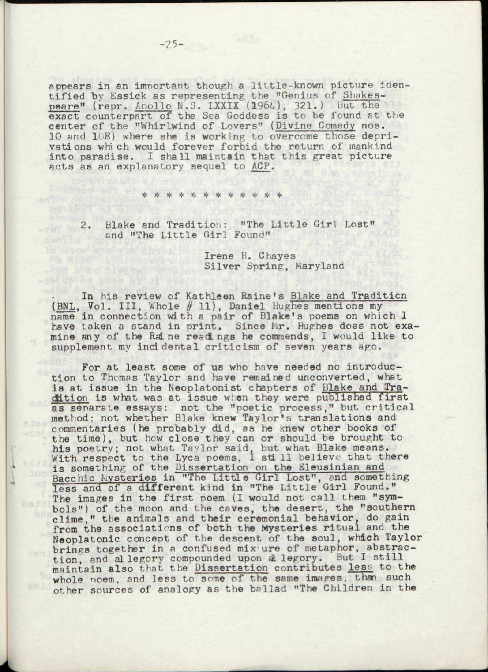appears in an important though a little-known picture identified by Essick as representing the "Genius of Shakespeare" (repr. Apollo N.S. LXXIX (1964), 321.) But the exact counterpart of the Sea Goddess is to be found st the center of the "Whirlwind of Lovers" (Divine Comedy nos. 10 and 1(E) where she is working to overcome those deprivations whi ch would forever forbid the return of mankind into paradise. I shall maintain that this great picture acts as an explanatory sequel to ACP.

\* \* \* \* \* \* \* \* \* \*

2. Blake and Tradition: "The Little Girl Lost" and "The Little Girl Found"

## Irene H. Chayes Silver Spring, Maryland

In his review of Kathleen Raine's Blake and Tradition (BNL, Vol. III, Whole #11), Daniel Hughes mentions my name in connection with a pair of Blake's poems on which I have taken a stand in print. Since Mr. Hughes does not examine any of the RaL ne read ngs he commends, I would like to supplement my incidental criticism of seven years ago.

For at least some of us who have needed no introduction to Thomas Taylor and have remained unconverted, what is at issue in the Neoplatonist chapters of Blake and Tradition is what was at issue when they were published first as separate essays: not the "poetic process," but critical method: not whether Blake knew Taylor's translations and commentaries (he probably did, as he knew other books of the time), but hew close they can or should be brought to his poetry; not what Taylor said, but what Blake means. With respect to the Lyca poems, I still believe that there is something of the Dissertation on the Eleusinian and Bacchic Mysteries in "The Little Girl Lost", and something less and of a different kind in "The Little Girl Found." The images in the first poem (I would not call them "symbols") of the moon and the caves, the desert, the "southern clime," the animals and their ceremonial behavior, do gain from the associations of both the Mysteries ritual and the Neoplatonic concept of the descent of the soul, which Taylor brings together in a confused mix ure of metaphor, abstraction, and allegory compounded upon allegory. But I still maintain also that the Dissertation contributes less to the whole noem, and less to some of the same images, than such other sources of analogy as the ballad "The Children in the

bedd)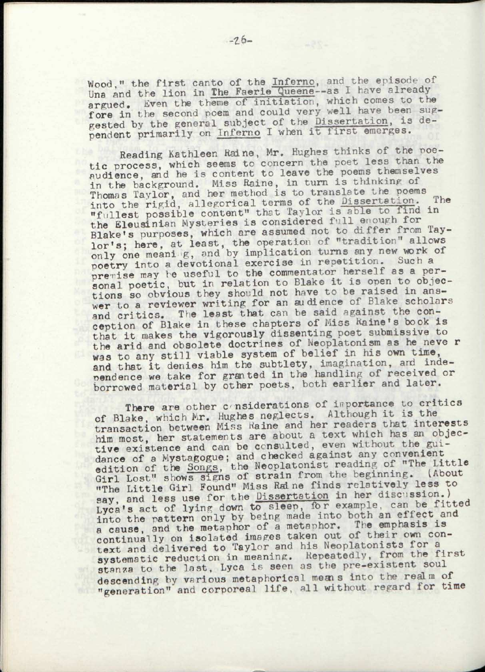Wood," the first canto of the Inferno, and the episode of Una and the lion in The Faerie Queene--as I have already argued. Even the theme of initiation, which comes to the fore in the second poem and could very well have been suggested by the general subject of the Dissertation, is dependent primarily on Inferno I when it first emerges.

Reading Kathleen Raine, Mr. Hughes thinks of the poetic process, which seems to concern the poet less than the audience, and he is content to leave the poems themselves in the background. Miss Raine, in turn is thinking of Thomas Tavlor, and her method is to translate the poems into the rigid, allegorical terms of the Dissertation. The "fullest possible content" that Taylor is able to find in the Eleusinian Mysteries is considered full enough for Blake's purposes, which are assumed not to differ from Taylor's: here, at least, the operation of "tradition" allows only one meani g, and by implication turns any new work of poetry into a devotional exercise in repetition. buch a premise may be useful to the commentator herself as a personal poetic, but in relation to Blake it is open to objections so obvious they should not have to be raised in answer to a reviewer writing for an audience of Blake scholars and critics. The least that can be said against the conception of Blake in these chapters of Miss Raine!s book is that it makes the vigorously dissenting poet submissive to the arid and obsolete doctrines of Neoplatonism as he never was to any still viable system of belief in his own time, and that it denies him the subtlety, imagination, and independence we take for granted in the handling of received or borrowed material by other poets, both earlier and later.

There are other considerations of importance to critics of Blake, which Mr. Hughes neglects. Although it is the transaction between Miss Raine and her readers that interests him most, her statements are about a text which has an objective existence and can be consulted, even without the guidance of a Mystagogue; and checked against any convenient edition of the Songs, the Neoplatonist reading of "The Little Girl Lost" shows signs of strain from the beginning. (About "The Little Girl Found" Miss Raine finds relatively less to say, and less use for the Dissertation in her discussion.) Lyca's act of lyine down to sleep, for example, can be fitted into the pattern only by being made into both an effect and a cause, and the metaphor of a metaphor. The emphasis is continually on isolated images taken out of their own context and delivered to Taylor and his Neoplatonists for a systematic reduction in meaning. Repeatedly, from the first stanza to the last, Lyca is seen as the pre-existent soul descending bv various metaphorical means into the realm of "generation"'and corporeal life, all without regard for time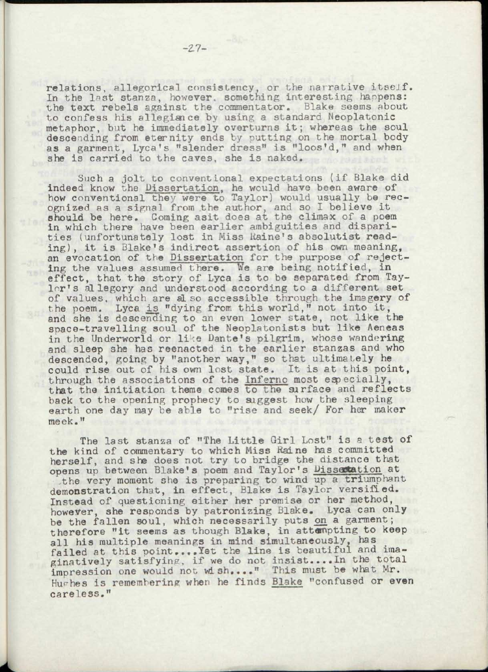relations, allegorical consistency, or the narrative itsejf. In the last stanza, however, something interesting happens: the text rebels against the commentator, Blake seems about to confess his allegiance by using a standard Neoplatonic metaphor, but he immediately overturns it; whereas the soul descending from eternity ends by putting on the mortal body as a garment, Lyca's "slender dress" is "loos'd," and when she is carried to the caves, she is naked.

Such a jolt to conventional expectations (if Blake did indeed know the Dissertation, he would have been aware of how conventional they were to Taylor) would usually be recognized as a signal from the author, and so I believe it should be here. Coming asit does at the climax of a poem in which there have been earlier ambiguities and disparities (unfortunately lost in Miss Raine's absolutist reading), it is Blake's indirect assertion of his own meaning, an evocation of the Dissertation for the purpose of rejecting the values assumed there. We are being notified, in effect, that the story of Lyca is to be separated from Taylor's allegory and understood according to a different set of values, which are al so accessible through the imagery of the poem. Lyca is "dying from this world," not into it, and she is descending to an even lower state, not like the space-travelling soul of the Neoplatonists but like Aeneas in the Underworld or like Dante's pilgrim, whose wandering and sleep she has reenacted in the earlier stanzas and who descended, going by "another way," so that ultimately he could rise out of his own lost state. It is at this point, through the associations of the Inferno most especially, that the initiation theme comes to the surface and reflects back to the opening prophecy to suggest how the sleeping earth one day may be able to "rise and seek/ For her maker meek,"

The last stanza of "The Little Girl Lost" is a test of the kind of commentary to which Miss Raine has committed herself, and she does not try to bridge the distance that opens up between Blake's poem and Taylor's Dissertation at .the very moment she is preparing to wind up a triumphant demonstration that, in effect, Blake is Taylor versified. Instead of questioning either her premise or her method, however, she responds by patronizing Blake. Lyca can only be the fallen soul, which necessarily puts on a garment; therefore "it seems as though Blake, in attempting to keep al] his multiple meanings in mind simultaneously, has failed at this point....Yet the line is beautiful and imaginatively satisfying, if we do not insist....In the total impression one would not wish...." This must be what Mr. Hughes is remembering when he finds Blake "confused or even careless."